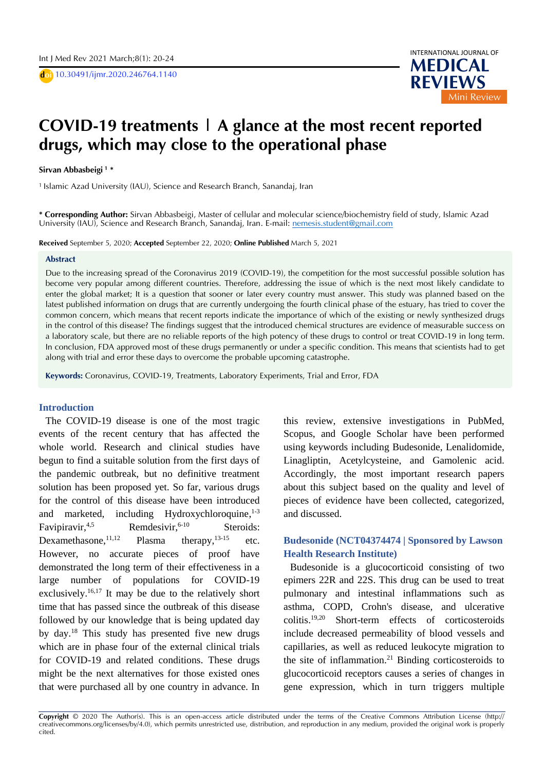D **doi** 10.30491/ijmr.2020.246764.1140



# $\overline{ }$ D **COVID-19 treatments | A glance at the most recent reported**  A **drugs, which may close to the operational phase**

# D **Sirvan Abbasbeigi <sup>1</sup> \***

1 Islamic Azad University (IAU), Science and Research Branch, Sanandaj, Iran

**\* Corresponding Author:** Sirvan Abbasbeigi, Master of cellular and molecular science/biochemistry field of study, Islamic Azad University (IAU), Science and Research Branch, Sanandaj, Iran. E-mail: nemesis.student@gmail.com

**Received** September 5, 2020; **Accepted** September 22, 2020; **Online Published** March 5, 2021

#### **Abstract**

Due to the increasing spread of the Coronavirus 2019 (COVID-19), the competition for the most successful possible solution has become very popular among different countries. Therefore, addressing the issue of which is the next most likely candidate to enter the global market; It is a question that sooner or later every country must answer. This study was planned based on the latest published information on drugs that are currently undergoing the fourth clinical phase of the estuary, has tried to cover the common concern, which means that recent reports indicate the importance of which of the existing or newly synthesized drugs in the control of this disease? The findings suggest that the introduced chemical structures are evidence of measurable success on a laboratory scale, but there are no reliable reports of the high potency of these drugs to control or treat COVID-19 in long term. In conclusion, FDA approved most of these drugs permanently or under a specific condition. This means that scientists had to get along with trial and error these days to overcome the probable upcoming catastrophe.

**Keywords:** Coronavirus, COVID-19, Treatments, Laboratory Experiments, Trial and Error, FDA

#### **Introduction**

The COVID-19 disease is one of the most tragic events of the recent century that has affected the whole world. Research and clinical studies have begun to find a suitable solution from the first days of the pandemic outbreak, but no definitive treatment solution has been proposed yet. So far, various drugs for the control of this disease have been introduced and marketed, including Hydroxychloroquine,<sup>1-3</sup> Favipiravir.<sup>4,5</sup> Remdesivir. $6-10$ Steroids: Dexamethasone, 11,12  $11,12$  Plasma therapy,  $13-15$  etc. However, no accurate pieces of proof have demonstrated the long term of their effectiveness in a large number of populations for COVID-19 exclusively.<sup>16,17</sup> It may be due to the relatively short time that has passed since the outbreak of this disease followed by our knowledge that is being updated day by day. <sup>18</sup> This study has presented five new drugs which are in phase four of the external clinical trials for COVID-19 and related conditions. These drugs might be the next alternatives for those existed ones that were purchased all by one country in advance. In

this review, extensive investigations in PubMed, Scopus, and Google Scholar have been performed using keywords including Budesonide, Lenalidomide, Linagliptin, Acetylcysteine, and Gamolenic acid. Accordingly, the most important research papers about this subject based on the quality and level of pieces of evidence have been collected, categorized, and discussed.

## **Budesonide (NCT04374474 | Sponsored by Lawson Health Research Institute)**

Budesonide is a glucocorticoid consisting of two epimers 22R and 22S. This drug can be used to treat pulmonary and intestinal inflammations such as asthma, COPD, Crohn's disease, and ulcerative colitis. 19,20 Short-term effects of corticosteroids include decreased permeability of blood vessels and capillaries, as well as reduced leukocyte migration to the site of inflammation. <sup>21</sup> Binding corticosteroids to glucocorticoid receptors causes a series of changes in gene expression, which in turn triggers multiple

**Copyright** © 2020 The Author(s). This is an open-access article distributed under the terms of the Creative Commons Attribution License (http:// creativecommons.org/licenses/by/4.0), which permits unrestricted use, distribution, and reproduction in any medium, provided the original work is properly cited.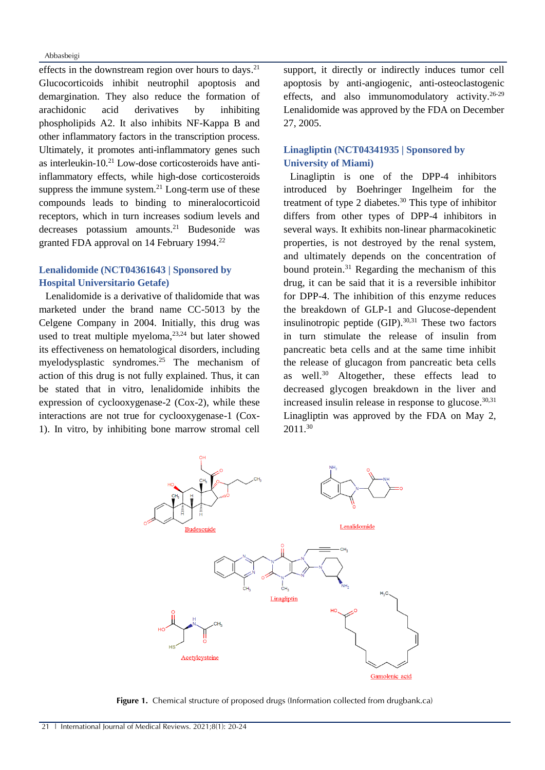Abbasbeigi

effects in the downstream region over hours to days.<sup>21</sup> Glucocorticoids inhibit neutrophil apoptosis and demargination. They also reduce the formation of arachidonic acid derivatives by inhibiting phospholipids A2. It also inhibits NF-Kappa B and other inflammatory factors in the transcription process. Ultimately, it promotes anti-inflammatory genes such as interleukin-10. <sup>21</sup> Low-dose corticosteroids have antiinflammatory effects, while high-dose corticosteroids suppress the immune system. $21$  Long-term use of these compounds leads to binding to mineralocorticoid receptors, which in turn increases sodium levels and decreases potassium amounts. <sup>21</sup> Budesonide was granted FDA approval on 14 February 1994.<sup>22</sup>

# **Lenalidomide (NCT04361643 | Sponsored by Hospital Universitario Getafe)**

Lenalidomide is a derivative of thalidomide that was marketed under the brand name CC-5013 by the Celgene Company in 2004. Initially, this drug was used to treat multiple myeloma, 23,24 but later showed its effectiveness on hematological disorders, including myelodysplastic syndromes. <sup>25</sup> The mechanism of action of this drug is not fully explained. Thus, it can be stated that in vitro, lenalidomide inhibits the expression of cyclooxygenase-2 (Cox-2), while these interactions are not true for cyclooxygenase-1 (Cox-1). In vitro, by inhibiting bone marrow stromal cell

support, it directly or indirectly induces tumor cell apoptosis by anti-angiogenic, anti-osteoclastogenic effects, and also immunomodulatory activity.<sup>26-29</sup> Lenalidomide was approved by the FDA on December 27, 2005.

### **Linagliptin (NCT04341935 | Sponsored by University of Miami)**

Linagliptin is one of the DPP-4 inhibitors introduced by Boehringer Ingelheim for the treatment of type 2 diabetes. <sup>30</sup> This type of inhibitor differs from other types of DPP-4 inhibitors in several ways. It exhibits non-linear pharmacokinetic properties, is not destroyed by the renal system, and ultimately depends on the concentration of bound protein. <sup>31</sup> Regarding the mechanism of this drug, it can be said that it is a reversible inhibitor for DPP-4. The inhibition of this enzyme reduces the breakdown of GLP-1 and Glucose-dependent insulinotropic peptide (GIP). 30,31 These two factors in turn stimulate the release of insulin from pancreatic beta cells and at the same time inhibit the release of glucagon from pancreatic beta cells as well. <sup>30</sup> Altogether, these effects lead to decreased glycogen breakdown in the liver and increased insulin release in response to glucose. 30,31 Linagliptin was approved by the FDA on May 2, 2011. 30



**Figure 1.** Chemical structure of proposed drugs (Information collected from drugbank.ca)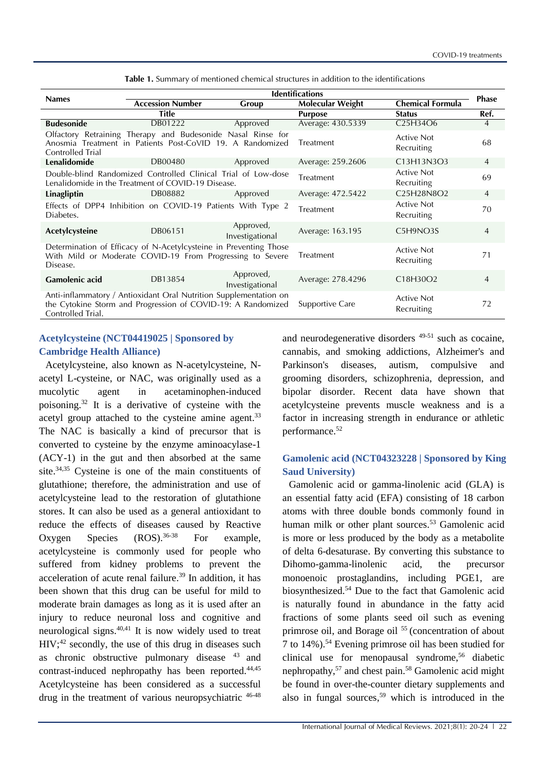| <b>Names</b>                                                                                                                                           | <b>Identifications</b>  |                              |                   |                                                               | <b>Phase</b>   |
|--------------------------------------------------------------------------------------------------------------------------------------------------------|-------------------------|------------------------------|-------------------|---------------------------------------------------------------|----------------|
|                                                                                                                                                        | <b>Accession Number</b> | Group                        | Molecular Weight  | <b>Chemical Formula</b>                                       |                |
|                                                                                                                                                        | Title                   |                              | <b>Purpose</b>    | <b>Status</b>                                                 | Ref.           |
| <b>Budesonide</b>                                                                                                                                      | DB01222                 | Approved                     | Average: 430.5339 | C25H34O6                                                      | $\overline{4}$ |
| Olfactory Retraining Therapy and Budesonide Nasal Rinse for<br>Anosmia Treatment in Patients Post-CoVID 19. A Randomized<br><b>Controlled Trial</b>    |                         |                              | Treatment         | <b>Active Not</b><br>Recruiting                               | 68             |
| Lenalidomide                                                                                                                                           | DB00480                 | Approved                     | Average: 259.2606 | C13H13N3O3                                                    | $\overline{4}$ |
| Double-blind Randomized Controlled Clinical Trial of Low-dose<br>Lenalidomide in the Treatment of COVID-19 Disease.                                    |                         |                              | Treatment         | <b>Active Not</b><br>Recruiting                               | 69             |
| Linagliptin                                                                                                                                            | DB08882                 | Approved                     | Average: 472.5422 | C <sub>25</sub> H <sub>28</sub> N <sub>8</sub> O <sub>2</sub> | $\overline{4}$ |
| Effects of DPP4 Inhibition on COVID-19 Patients With Type 2<br>Diabetes.                                                                               |                         |                              | Treatment         | <b>Active Not</b><br>Recruiting                               | 70             |
| Acetylcysteine                                                                                                                                         | DB06151                 | Approved,<br>Investigational | Average: 163.195  | C5H9NO3S                                                      | $\overline{4}$ |
| Determination of Efficacy of N-Acetylcysteine in Preventing Those<br>With Mild or Moderate COVID-19 From Progressing to Severe<br>Disease.             |                         |                              | Treatment         | <b>Active Not</b><br>Recruiting                               | 71             |
| <b>Gamolenic acid</b>                                                                                                                                  | DB13854                 | Approved,<br>Investigational | Average: 278.4296 | C18H30O2                                                      | $\overline{4}$ |
| Anti-inflammatory / Antioxidant Oral Nutrition Supplementation on<br>the Cytokine Storm and Progression of COVID-19: A Randomized<br>Controlled Trial. |                         |                              | Supportive Care   | <b>Active Not</b><br>Recruiting                               | 72             |

**Table 1.** Summary of mentioned chemical structures in addition to the identifications

#### **Acetylcysteine (NCT04419025 | Sponsored by Cambridge Health Alliance)**

Acetylcysteine, also known as N-acetylcysteine, Nacetyl L-cysteine, or NAC, was originally used as a mucolytic agent in acetaminophen-induced poisoning. <sup>32</sup> It is a derivative of cysteine with the acetyl group attached to the cysteine amine agent.<sup>33</sup> The NAC is basically a kind of precursor that is converted to cysteine by the enzyme aminoacylase-1 (ACY-1) in the gut and then absorbed at the same site. 34,35 Cysteine is one of the main constituents of glutathione; therefore, the administration and use of acetylcysteine lead to the restoration of glutathione stores. It can also be used as a general antioxidant to reduce the effects of diseases caused by Reactive Oxygen Species (ROS). 36-38 For example, acetylcysteine is commonly used for people who suffered from kidney problems to prevent the acceleration of acute renal failure. <sup>39</sup> In addition, it has been shown that this drug can be useful for mild to moderate brain damages as long as it is used after an injury to reduce neuronal loss and cognitive and neurological signs. 40,41 It is now widely used to treat  $HIV;^{42}$  secondly, the use of this drug in diseases such as chronic obstructive pulmonary disease <sup>43</sup> and contrast-induced nephropathy has been reported. 44,45 Acetylcysteine has been considered as a successful drug in the treatment of various neuropsychiatric 46-48

and neurodegenerative disorders 49-51 such as cocaine, cannabis, and smoking addictions, Alzheimer's and Parkinson's diseases, autism, compulsive and grooming disorders, schizophrenia, depression, and bipolar disorder. Recent data have shown that acetylcysteine prevents muscle weakness and is a factor in increasing strength in endurance or athletic performance. 52

# **Gamolenic acid (NCT04323228 | Sponsored by King Saud University)**

Gamolenic acid or gamma-linolenic acid (GLA) is an essential fatty acid (EFA) consisting of 18 carbon atoms with three double bonds commonly found in human milk or other plant sources. <sup>53</sup> Gamolenic acid is more or less produced by the body as a metabolite of delta 6-desaturase. By converting this substance to Dihomo-gamma-linolenic acid, the precursor monoenoic prostaglandins, including PGE1, are biosynthesized. <sup>54</sup> Due to the fact that Gamolenic acid is naturally found in abundance in the fatty acid fractions of some plants seed oil such as evening primrose oil, and Borage oil <sup>55</sup> (concentration of about 7 to 14%). <sup>54</sup> Evening primrose oil has been studied for clinical use for menopausal syndrome, <sup>56</sup> diabetic nephropathy, <sup>57</sup> and chest pain. <sup>58</sup> Gamolenic acid might be found in over-the-counter dietary supplements and also in fungal sources, <sup>59</sup> which is introduced in the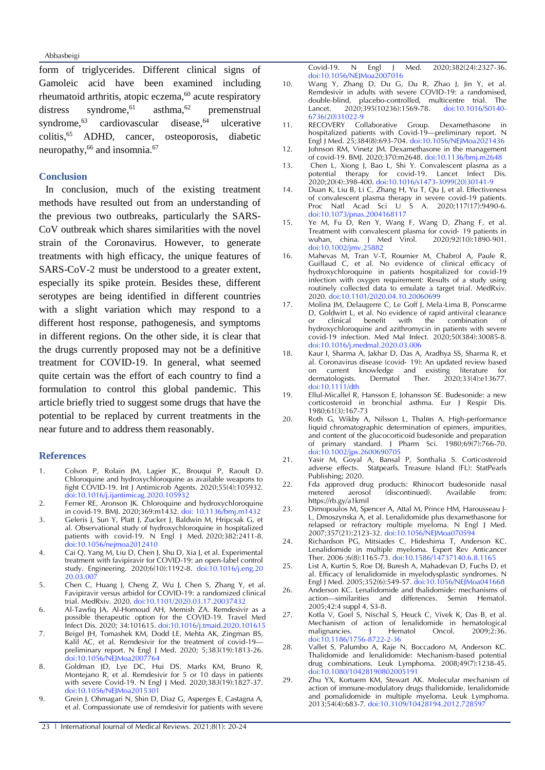Abbasbeigi

form of triglycerides. Different clinical signs of Gamoleic acid have been examined including rheumatoid arthritis, atopic eczema, <sup>60</sup> acute respiratory distress syndrome, <sup>61</sup> asthma, $62$ premenstrual syndrome.<sup>63</sup> cardiovascular disease.<sup>64</sup> ulcerative colitis, <sup>65</sup> ADHD, cancer, osteoporosis, diabetic neuropathy,<sup>66</sup> and insomnia.<sup>67</sup>

#### **Conclusion**

In conclusion, much of the existing treatment methods have resulted out from an understanding of the previous two outbreaks, particularly the SARS-CoV outbreak which shares similarities with the novel strain of the Coronavirus. However, to generate treatments with high efficacy, the unique features of SARS-CoV-2 must be understood to a greater extent, especially its spike protein. Besides these, different serotypes are being identified in different countries with a slight variation which may respond to a different host response, pathogenesis, and symptoms in different regions. On the other side, it is clear that the drugs currently proposed may not be a definitive treatment for COVID-19. In general, what seemed quite certain was the effort of each country to find a formulation to control this global pandemic. This article briefly tried to suggest some drugs that have the potential to be replaced by current treatments in the near future and to address them reasonably.

#### **References**

- 1. Colson P, Rolain JM, Lagier JC, Brouqui P, Raoult D. Chloroquine and hydroxychloroquine as available weapons to fight COVID-19. Int J Antimicrob Agents. 2020;55(4):105932. doi:10.1016/j.ijantimicag.2020.105932
- 2. Ferner RE, Aronson JK. Chloroquine and hydroxychloroquine in covid-19. BMJ. 2020;369:m1432. doi: 10.1136/bmj.m1432
- 3. Geleris J, Sun Y, Platt J, Zucker J, Baldwin M, Hripcsak G, et al. Observational study of hydroxychloroquine in hospitalized patients with covid-19. N Engl J Med. 2020;382:2411-8. [doi:10.1056/nejmoa2012410](https://doi.org/10.1056/nejmoa2012410)
- 4. Cai Q, Yang M, Liu D, Chen J, Shu D, Xia J, et al. Experimental treatment with favipiravir for COVID-19: an open-label control study. Engineering. 2020;6(10):1192-8. [doi:10.1016/j.eng.20](https://doi.org/10.1016/j.eng.2020.03.007) [20.03.007](https://doi.org/10.1016/j.eng.2020.03.007)
- 5. Chen C, Huang J, Cheng Z, Wu J, Chen S, Zhang Y, et al. Favipiravir versus arbidol for COVID-19: a randomized clinical trial. MedRxiv. 2020. doi:10.1101/2020.03.17.20037432
- 6. Al-Tawfiq JA, Al-Homoud AH, Memish ZA. Remdesivir as a possible therapeutic option for the COVID-19. Travel Med Infect Dis. 2020; 34:101615. doi:10.1016/j.tmaid.2020.101615
- 7. Beigel JH, Tomashek KM, Dodd LE, Mehta AK, Zingman BS, Kalil AC, et al. Remdesivir for the treatment of covid-19 preliminary report. N Engl J Med. 2020; 5;383(19):1813-26. doi:10.1056/NEJMoa2007764
- 8. Goldman JD, Lye DC, Hui DS, Marks KM, Bruno R, Montejano R, et al. Remdesivir for 5 or 10 days in patients with severe Covid-19. N Engl J Med. 2020;383(19):1827-37. doi:10.1056/NEJMoa2015301
- 9. Grein J, Ohmagari N, Shin D, Diaz G, Asperges E, Castagna A, et al. Compassionate use of remdesivir for patients with severe

Covid-19. N Engl J Med. 2020;382(24):2327-36. doi:10.1056/NEJMoa2007016

- 10. Wang Y, Zhang D, Du G, Du R, Zhao J, Jin Y, et al. Remdesivir in adults with severe COVID-19: a randomised, double-blind, placebo-controlled, multicentre trial. The 2020;395(10236):1569-78. 6736(20)31022-9
- 11. RECOVERY Collaborative Group. Dexamethasone hospitalized patients with Covid-19—preliminary report. N Engl J Med. 25;384(8):693-704. doi:10.1056/NEJMoa2021436
- 12. Johnson RM, Vinetz JM. Dexamethasone in the management of covid-19. BMJ. 2020;370:m2648. doi:10.1136/bmj.m2648
- 13. Chen L, Xiong J, Bao L, Shi Y. Convalescent plasma as a potential therapy for covid-19. Lancet Infect Dis. 2020;20(4):398-400. [doi:10.1016/s1473-3099\(20\)30141-9](https://doi.org/10.1016/s1473-3099(20)30141-9)
- 14. Duan K, Liu B, Li C, Zhang H, Yu T, Qu J, et al. Effectiveness of convalescent plasma therapy in severe covid-19 patients. Proc Natl Acad Sci U S A. 2020;117(17):9490-6. [doi:10.1073/pnas.2004168117](https://doi.org/10.1073/pnas.2004168117)
- 15. Ye M, Fu D, Ren Y, Wang F, Wang D, Zhang F, et al. Treatment with convalescent plasma for covid- 19 patients in<br>wuhan, china. J Med Virol. 2020;92(10):1890-901. wuhan, china. J Med Virol. [doi:10.1002/jmv.25882](https://doi.org/10.1002/jmv.25882)
- 16. Mahevas M, Tran V-T, Roumier M, Chabrol A, Paule R, Guillaud C, et al. No evidence of clinical efficacy of hydroxychloroquine in patients hospitalized for covid-19 infection with oxygen requirement: Results of a study using routinely collected data to emulate a target trial. MedRxiv. 2020[. doi:10.1101/2020.04.10.20060699](https://doi.org/10.1101/2020.04.10.20060699)
- 17. Molina JM, Delaugerre C, Le Goff J, Mela-Lima B, Ponscarme D, Goldwirt L, et al. No evidence of rapid antiviral clearance or clinical benefit with the combination of hydroxychloroquine and azithromycin in patients with severe covid-19 infection. Med Mal Infect. 2020;50(384):30085-8. [doi:10.1016/j.medmal.2020.03.006](https://doi.org/doi:10.1016/j.medmal.2020.03.006)
- 18. Kaur I, Sharma A, Jakhar D, Das A, Aradhya SS, Sharma R, et al. Coronavirus disease (covid‐ 19): An updated review based on current knowledge and existing literature for dermatologists. Dermatol Ther. 2020;33(4):e13677. doi:10.1111/dth
- 19. Ellul-Micallef R, Hansson E, Johansson SE. Budesonide: a new corticosteroid in bronchial asthma. Eur J Respir Dis. 1980;61(3):167-73
- 20. Roth G, Wikby A, Nilsson L, Thalйn A. High-performance liquid chromatographic determination of epimers, impurities, and content of the glucocorticoid budesonide and preparation of primary standard. J Pharm Sci. 1980;69(7):766-70. doi:10.1002/jps.2600690705
- 21. Yasir M, Goyal A, Bansal P, Sonthalia S. Corticosteroid adverse effects. Statpearls. Treasure Island (FL): StatPearls Publishing; 2020.
- 22. Fda approved drug products: Rhinocort budesonide nasal metered aerosol (discontinued). Available from: aerosol (discontinued). Available from: <https://rb.gy/a1kmil>
- 23. Dimopoulos M, Spencer A, Attal M, Prince HM, Harousseau J-L, Dmoszynska A, et al. Lenalidomide plus dexamethasone for relapsed or refractory multiple myeloma. N Engl J Med. 2007;357(21):2123-32. [doi:10.1056/NEJMoa070594](https://doi.org/10.1056/NEJMoa070594)
- 24. Richardson PG, Mitsiades C, Hideshima T, Anderson KC. Lenalidomide in multiple myeloma. Expert Rev Anticancer Ther. 2006 ;6(8):1165-73. doi:10.1586/14737140.6.8.1165
- 25. List A, Kurtin S, Roe DJ, Buresh A, Mahadevan D, Fuchs D, et al. Efficacy of lenalidomide in myelodysplastic syndromes. N Engl J Med. 2005;352(6):549-57[. doi:10.1056/NEJMoa041668](https://doi.org/10.1056/NEJMoa041668)
- 26. Anderson KC. Lenalidomide and thalidomide: mechanisms of action—similarities and differences. Semin Hematol. 2005;42:4 suppl 4, S3-8.
- 27. Kotla V, Goel S, Nischal S, Heuck C, Vivek K, Das B, et al. Mechanism of action of lenalidomide in hematological malignancies. J Hematol Oncol. 2009;2:36. doi:10.1186/1756-8722-2-36
- 28. Vallet S, Palumbo A, Raje N, Boccadoro M, Anderson KC. Thalidomide and lenalidomide: Mechanism-based potential drug combinations. Leuk Lymphoma. 2008;49(7):1238-45. doi:10.1080/10428190802005191
- 29. Zhu YX, Kortuem KM, Stewart AK. Molecular mechanism of action of immune-modulatory drugs thalidomide, lenalidomide and pomalidomide in multiple myeloma. Leuk Lymphoma. 2013;54(4):683-7. doi:10.3109/10428194.2012.728597